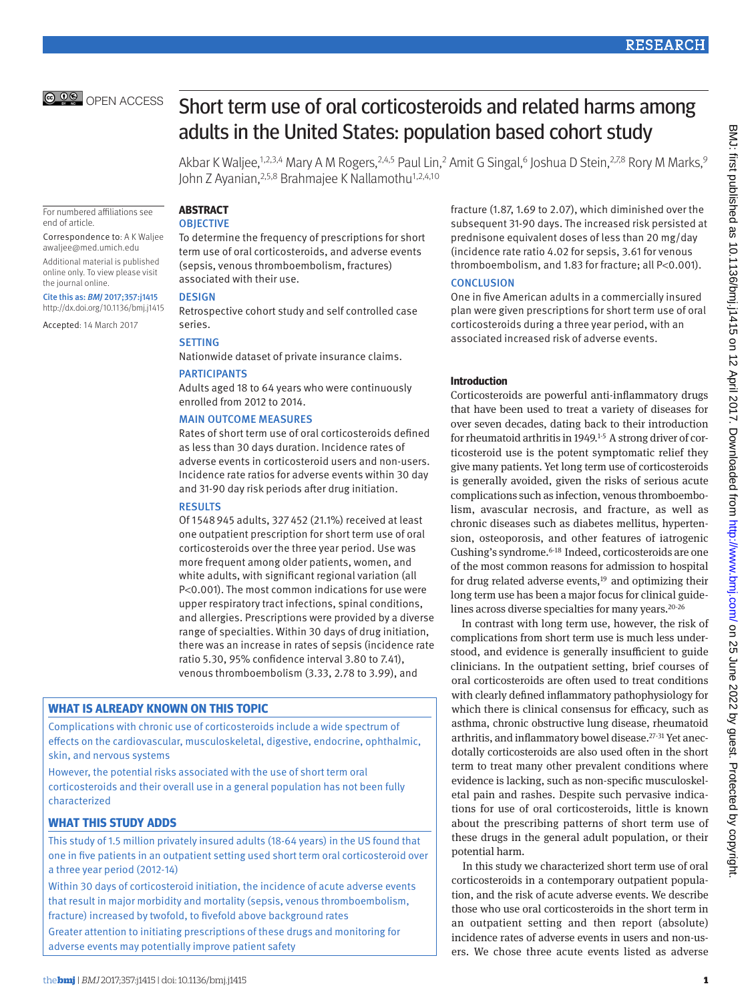

# Short term use of oral corticosteroids and related harms among adults in the United States: population based cohort study

Akbar K Waljee,<sup>1,2,3,4</sup> Mary A M Rogers,<sup>2,4,5</sup> Paul Lin,<sup>2</sup> Amit G Singal,<sup>6</sup> Joshua D Stein,<sup>2,7,8</sup> Rory M Marks,<sup>9</sup> John Z Ayanian, 2,5,8 Brahmajee K Nallamothu<sup>1,2,4,10</sup>

For numbered affiliations see end of article.

Correspondence to: A K Waljee awaljee@med.umich.edu

Additional material is published online only. To view please visit the journal online.

Cite this as: *BMJ* 2017;357:j1415 http://dx.doi.org/10.1136/bmj.j1415

Accepted: 14 March 2017

## **ABSTRACT**

## **OBJECTIVE**

To determine the frequency of prescriptions for short term use of oral corticosteroids, and adverse events (sepsis, venous thromboembolism, fractures) associated with their use.

#### **DESIGN**

Retrospective cohort study and self controlled case series.

#### **SETTING**

Nationwide dataset of private insurance claims.

#### **PARTICIPANTS**

Adults aged 18 to 64 years who were continuously enrolled from 2012 to 2014.

#### **MAIN OUTCOME MEASURES**

Rates of short term use of oral corticosteroids defined as less than 30 days duration. Incidence rates of adverse events in corticosteroid users and non-users. Incidence rate ratios for adverse events within 30 day and 31-90 day risk periods after drug initiation.

#### **RESULTS**

Of 1 548945 adults, 327452 (21.1%) received at least one outpatient prescription for short term use of oral corticosteroids over the three year period. Use was more frequent among older patients, women, and white adults, with significant regional variation (all P<0.001). The most common indications for use were upper respiratory tract infections, spinal conditions, and allergies. Prescriptions were provided by a diverse range of specialties. Within 30 days of drug initiation, there was an increase in rates of sepsis (incidence rate ratio 5.30, 95% confidence interval 3.80 to 7.41), venous thromboembolism (3.33, 2.78 to 3.99), and

#### **What is already known on this topic**

Complications with chronic use of corticosteroids include a wide spectrum of effects on the cardiovascular, musculoskeletal, digestive, endocrine, ophthalmic, skin, and nervous systems

However, the potential risks associated with the use of short term oral corticosteroids and their overall use in a general population has not been fully characterized

#### **What this study adds**

This study of 1.5 million privately insured adults (18-64 years) in the US found that one in five patients in an outpatient setting used short term oral corticosteroid over a three year period (2012-14)

Within 30 days of corticosteroid initiation, the incidence of acute adverse events that result in major morbidity and mortality (sepsis, venous thromboembolism, fracture) increased by twofold, to fivefold above background rates

Greater attention to initiating prescriptions of these drugs and monitoring for adverse events may potentially improve patient safety

fracture (1.87, 1.69 to 2.07), which diminished over the subsequent 31-90 days. The increased risk persisted at prednisone equivalent doses of less than 20 mg/day (incidence rate ratio 4.02 for sepsis, 3.61 for venous thromboembolism, and 1.83 for fracture; all P<0.001).

#### **CONCLUSION**

One in five American adults in a commercially insured plan were given prescriptions for short term use of oral corticosteroids during a three year period, with an associated increased risk of adverse events.

#### **Introduction**

Corticosteroids are powerful anti-inflammatory drugs that have been used to treat a variety of diseases for over seven decades, dating back to their introduction for rheumatoid arthritis in 1949.1-5 A strong driver of corticosteroid use is the potent symptomatic relief they give many patients. Yet long term use of corticosteroids is generally avoided, given the risks of serious acute complications such as infection, venous thromboembolism, avascular necrosis, and fracture, as well as chronic diseases such as diabetes mellitus, hypertension, osteoporosis, and other features of iatrogenic Cushing's syndrome.6-18 Indeed, corticosteroids are one of the most common reasons for admission to hospital for drug related adverse events,<sup>19</sup> and optimizing their long term use has been a major focus for clinical guidelines across diverse specialties for many years.20-26

In contrast with long term use, however, the risk of complications from short term use is much less understood, and evidence is generally insufficient to guide clinicians. In the outpatient setting, brief courses of oral corticosteroids are often used to treat conditions with clearly defined inflammatory pathophysiology for which there is clinical consensus for efficacy, such as asthma, chronic obstructive lung disease, rheumatoid arthritis, and inflammatory bowel disease.<sup>27-31</sup> Yet anecdotally corticosteroids are also used often in the short term to treat many other prevalent conditions where evidence is lacking, such as non-specific musculoskeletal pain and rashes. Despite such pervasive indications for use of oral corticosteroids, little is known about the prescribing patterns of short term use of these drugs in the general adult population, or their potential harm.

In this study we characterized short term use of oral corticosteroids in a contemporary outpatient population, and the risk of acute adverse events. We describe those who use oral corticosteroids in the short term in an outpatient setting and then report (absolute) incidence rates of adverse events in users and non-users. We chose three acute events listed as adverse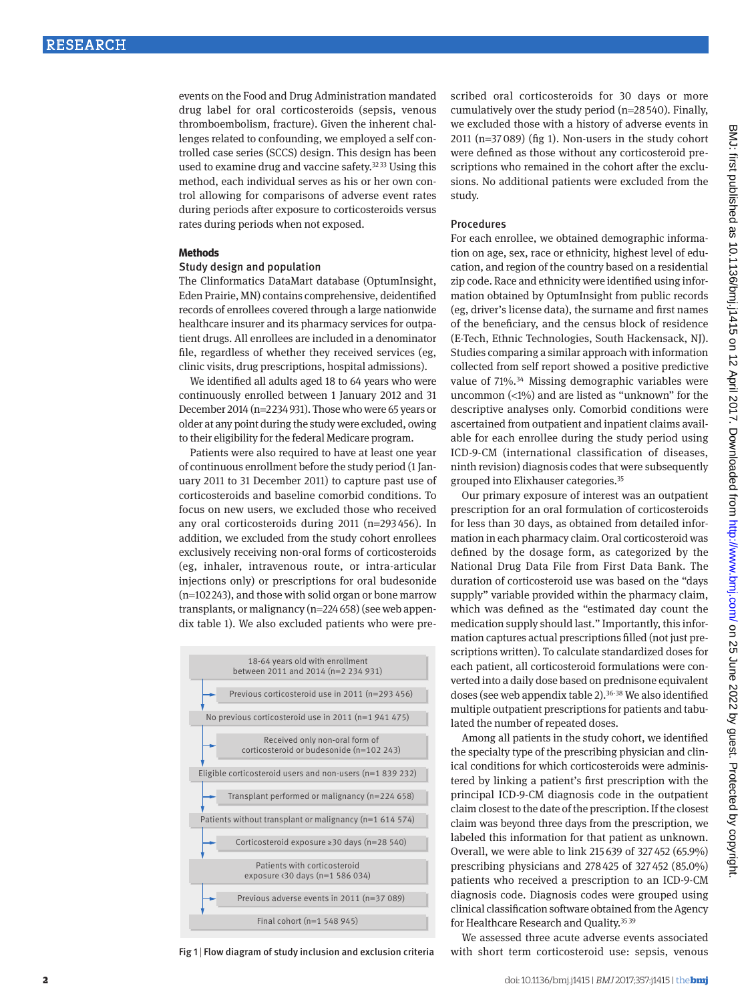events on the Food and Drug Administration mandated drug label for oral corticosteroids (sepsis, venous thromboembolism, fracture). Given the inherent challenges related to confounding, we employed a self controlled case series (SCCS) design. This design has been used to examine drug and vaccine safety.<sup>3233</sup> Using this method, each individual serves as his or her own control allowing for comparisons of adverse event rates during periods after exposure to corticosteroids versus rates during periods when not exposed.

#### **Methods**

#### Study design and population

The Clinformatics DataMart database (OptumInsight, Eden Prairie, MN) contains comprehensive, deidentified records of enrollees covered through a large nationwide healthcare insurer and its pharmacy services for outpatient drugs. All enrollees are included in a denominator file, regardless of whether they received services (eg, clinic visits, drug prescriptions, hospital admissions).

We identified all adults aged 18 to 64 years who were continuously enrolled between 1 January 2012 and 31 December 2014 (n=2234931). Those who were 65 years or older at any point during the study were excluded, owing to their eligibility for the federal Medicare program.

Patients were also required to have at least one year of continuous enrollment before the study period (1 January 2011 to 31 December 2011) to capture past use of corticosteroids and baseline comorbid conditions. To focus on new users, we excluded those who received any oral corticosteroids during 2011 (n=293 456). In addition, we excluded from the study cohort enrollees exclusively receiving non-oral forms of corticosteroids (eg, inhaler, intravenous route, or intra-articular injections only) or prescriptions for oral budesonide (n=102 243), and those with solid organ or bone marrow transplants, or malignancy (n=224658) (see web appendix table 1). We also excluded patients who were pre-



Fig 1 | Flow diagram of study inclusion and exclusion criteria

scribed oral corticosteroids for 30 days or more cumulatively over the study period (n=28540). Finally, we excluded those with a history of adverse events in 2011 (n=37089) (fig 1). Non-users in the study cohort were defined as those without any corticosteroid prescriptions who remained in the cohort after the exclusions. No additional patients were excluded from the study.

#### Procedures

For each enrollee, we obtained demographic information on age, sex, race or ethnicity, highest level of education, and region of the country based on a residential zip code. Race and ethnicity were identified using information obtained by OptumInsight from public records (eg, driver's license data), the surname and first names of the beneficiary, and the census block of residence (E-Tech, Ethnic Technologies, South Hackensack, NJ). Studies comparing a similar approach with information collected from self report showed a positive predictive value of 71%.34 Missing demographic variables were uncommon (<1%) and are listed as "unknown" for the descriptive analyses only. Comorbid conditions were ascertained from outpatient and inpatient claims available for each enrollee during the study period using ICD-9-CM (international classification of diseases, ninth revision) diagnosis codes that were subsequently grouped into Elixhauser categories.35

Our primary exposure of interest was an outpatient prescription for an oral formulation of corticosteroids for less than 30 days, as obtained from detailed information in each pharmacy claim. Oral corticosteroid was defined by the dosage form, as categorized by the National Drug Data File from First Data Bank. The duration of corticosteroid use was based on the "days supply" variable provided within the pharmacy claim, which was defined as the "estimated day count the medication supply should last." Importantly, this information captures actual prescriptions filled (not just prescriptions written). To calculate standardized doses for each patient, all corticosteroid formulations were converted into a daily dose based on prednisone equivalent doses (see web appendix table 2).<sup>36-38</sup> We also identified multiple outpatient prescriptions for patients and tabulated the number of repeated doses.

Among all patients in the study cohort, we identified the specialty type of the prescribing physician and clinical conditions for which corticosteroids were administered by linking a patient's first prescription with the principal ICD-9-CM diagnosis code in the outpatient claim closest to the date of the prescription. If the closest claim was beyond three days from the prescription, we labeled this information for that patient as unknown. Overall, we were able to link 215 639 of 327452 (65.9%) prescribing physicians and 278425 of 327452 (85.0%) patients who received a prescription to an ICD-9-CM diagnosis code. Diagnosis codes were grouped using clinical classification software obtained from the Agency for Healthcare Research and Quality.<sup>35 39</sup>

We assessed three acute adverse events associated with short term corticosteroid use: sepsis, venous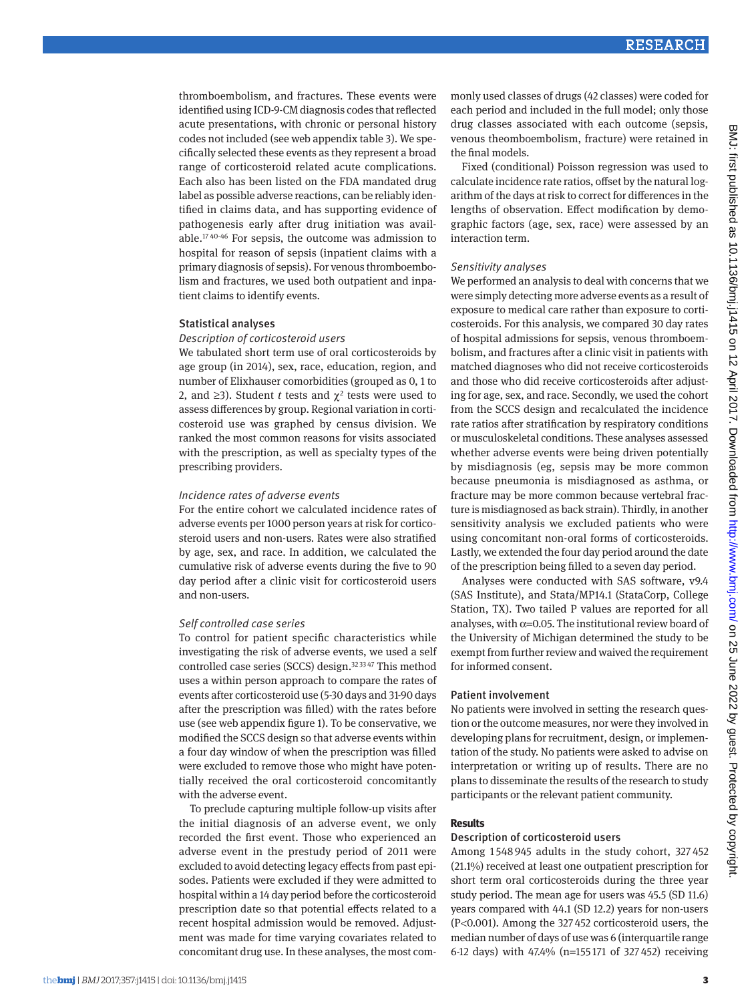thromboembolism, and fractures. These events were identified using ICD-9-CM diagnosis codes that reflected acute presentations, with chronic or personal history codes not included (see web appendix table 3). We specifically selected these events as they represent a broad range of corticosteroid related acute complications. Each also has been listed on the FDA mandated drug label as possible adverse reactions, can be reliably identified in claims data, and has supporting evidence of pathogenesis early after drug initiation was available.17 40-46 For sepsis, the outcome was admission to hospital for reason of sepsis (inpatient claims with a primary diagnosis of sepsis). For venous thromboembolism and fractures, we used both outpatient and inpatient claims to identify events.

#### Statistical analyses

#### *Description of corticosteroid users*

We tabulated short term use of oral corticosteroids by age group (in 2014), sex, race, education, region, and number of Elixhauser comorbidities (grouped as 0, 1 to 2, and  $\geq$ 3). Student *t* tests and  $\chi^2$  tests were used to assess differences by group. Regional variation in corticosteroid use was graphed by census division. We ranked the most common reasons for visits associated with the prescription, as well as specialty types of the prescribing providers.

#### *Incidence rates of adverse events*

For the entire cohort we calculated incidence rates of adverse events per 1000 person years at risk for corticosteroid users and non-users. Rates were also stratified by age, sex, and race. In addition, we calculated the cumulative risk of adverse events during the five to 90 day period after a clinic visit for corticosteroid users and non-users.

#### *Self controlled case series*

To control for patient specific characteristics while investigating the risk of adverse events, we used a self controlled case series (SCCS) design.<sup>32 33 47</sup> This method uses a within person approach to compare the rates of events after corticosteroid use (5-30 days and 31-90 days after the prescription was filled) with the rates before use (see web appendix figure 1). To be conservative, we modified the SCCS design so that adverse events within a four day window of when the prescription was filled were excluded to remove those who might have potentially received the oral corticosteroid concomitantly with the adverse event.

To preclude capturing multiple follow-up visits after the initial diagnosis of an adverse event, we only recorded the first event. Those who experienced an adverse event in the prestudy period of 2011 were excluded to avoid detecting legacy effects from past episodes. Patients were excluded if they were admitted to hospital within a 14 day period before the corticosteroid prescription date so that potential effects related to a recent hospital admission would be removed. Adjustment was made for time varying covariates related to concomitant drug use. In these analyses, the most commonly used classes of drugs (42 classes) were coded for each period and included in the full model; only those drug classes associated with each outcome (sepsis, venous theomboembolism, fracture) were retained in the final models.

Fixed (conditional) Poisson regression was used to calculate incidence rate ratios, offset by the natural logarithm of the days at risk to correct for differences in the lengths of observation. Effect modification by demographic factors (age, sex, race) were assessed by an interaction term.

#### *Sensitivity analyses*

We performed an analysis to deal with concerns that we were simply detecting more adverse events as a result of exposure to medical care rather than exposure to corticosteroids. For this analysis, we compared 30 day rates of hospital admissions for sepsis, venous thromboembolism, and fractures after a clinic visit in patients with matched diagnoses who did not receive corticosteroids and those who did receive corticosteroids after adjusting for age, sex, and race. Secondly, we used the cohort from the SCCS design and recalculated the incidence rate ratios after stratification by respiratory conditions or musculoskeletal conditions. These analyses assessed whether adverse events were being driven potentially by misdiagnosis (eg, sepsis may be more common because pneumonia is misdiagnosed as asthma, or fracture may be more common because vertebral fracture is misdiagnosed as back strain). Thirdly, in another sensitivity analysis we excluded patients who were using concomitant non-oral forms of corticosteroids. Lastly, we extended the four day period around the date of the prescription being filled to a seven day period.

Analyses were conducted with SAS software, v9.4 (SAS Institute), and Stata/MP14.1 (StataCorp, College Station, TX). Two tailed P values are reported for all analyses, with  $\alpha$ =0.05. The institutional review board of the University of Michigan determined the study to be exempt from further review and waived the requirement for informed consent.

#### Patient involvement

No patients were involved in setting the research question or the outcome measures, nor were they involved in developing plans for recruitment, design, or implementation of the study. No patients were asked to advise on interpretation or writing up of results. There are no plans to disseminate the results of the research to study participants or the relevant patient community.

#### **Results**

#### Description of corticosteroid users

Among 1 548 945 adults in the study cohort, 327 452 (21.1%) received at least one outpatient prescription for short term oral corticosteroids during the three year study period. The mean age for users was 45.5 (SD 11.6) years compared with 44.1 (SD 12.2) years for non-users (P<0.001). Among the 327452 corticosteroid users, the median number of days of use was 6 (interquartile range 6-12 days) with 47.4% (n=155 171 of 327 452) receiving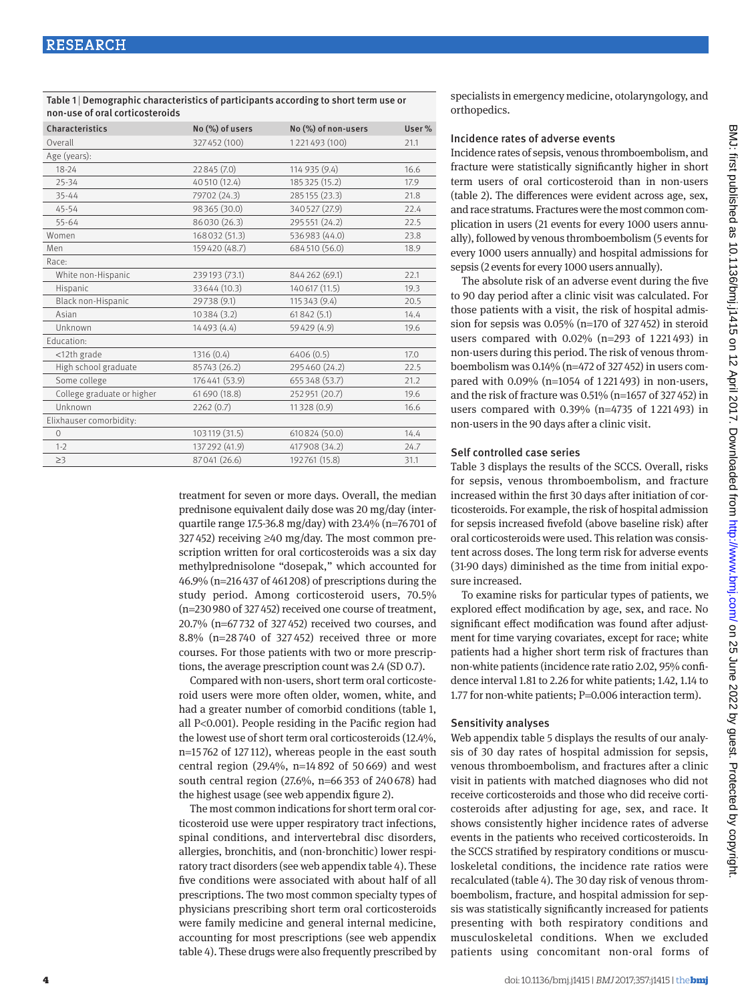#### Table 1 | Demographic characteristics of participants according to short term use or non-use of oral corticosteroids

| Characteristics            | No (%) of users | No (%) of non-users | User % |
|----------------------------|-----------------|---------------------|--------|
| Overall                    | 327452 (100)    | 1221493 (100)       | 21.1   |
| Age (years):               |                 |                     |        |
| $18 - 24$                  | 22845 (7.0)     | 114 935 (9.4)       | 16.6   |
| $25 - 34$                  | 40510 (12.4)    | 185 325 (15.2)      | 17.9   |
| $35 - 44$                  | 79702 (24.3)    | 285 155 (23.3)      | 21.8   |
| 45-54                      | 98365 (30.0)    | 340527 (27.9)       | 22.4   |
| 55-64                      | 86 030 (26.3)   | 295 551 (24.2)      | 22.5   |
| Women                      | 168032 (51.3)   | 536983 (44.0)       | 23.8   |
| Men                        | 159420 (48.7)   | 684510 (56.0)       | 18.9   |
| Race:                      |                 |                     |        |
| White non-Hispanic         | 239193 (73.1)   | 844262 (69.1)       | 22.1   |
| Hispanic                   | 33644 (10.3)    | 140 617 (11.5)      | 19.3   |
| Black non-Hispanic         | 29738 (9.1)     | 115 3 43 (9.4)      | 20.5   |
| Asian                      | 10384 (3.2)     | 61842(5.1)          | 14.4   |
| Unknown                    | 14493 (4.4)     | 59 429 (4.9)        | 19.6   |
| Education:                 |                 |                     |        |
| <12th grade                | 1316(0.4)       | 6406 (0.5)          | 17.0   |
| High school graduate       | 85743 (26.2)    | 295460 (24.2)       | 22.5   |
| Some college               | 176441 (53.9)   | 655348 (53.7)       | 21.2   |
| College graduate or higher | 61 690 (18.8)   | 252951 (20.7)       | 19.6   |
| Unknown                    | 2262(0.7)       | 11328 (0.9)         | 16.6   |
| Elixhauser comorbidity:    |                 |                     |        |
| $\Omega$                   | 103119 (31.5)   | 610824 (50.0)       | 14.4   |
| $1 - 2$                    | 137292 (41.9)   | 417908 (34.2)       | 24.7   |
| $\geq$ 3                   | 87041 (26.6)    | 192761 (15.8)       | 31.1   |
|                            |                 |                     |        |

treatment for seven or more days. Overall, the median prednisone equivalent daily dose was 20 mg/day (interquartile range 17.5-36.8 mg/day) with 23.4% (n=76701 of 327452) receiving ≥40 mg/day. The most common prescription written for oral corticosteroids was a six day methylprednisolone "dosepak," which accounted for 46.9% (n=216437 of 461 208) of prescriptions during the study period. Among corticosteroid users, 70.5% (n=230980 of 327452) received one course of treatment, 20.7% (n=67 732 of 327452) received two courses, and 8.8% (n=28 740 of 327 452) received three or more courses. For those patients with two or more prescriptions, the average prescription count was 2.4 (SD 0.7).

Compared with non-users, short term oral corticosteroid users were more often older, women, white, and had a greater number of comorbid conditions (table 1, all P<0.001). People residing in the Pacific region had the lowest use of short term oral corticosteroids (12.4%, n=15 762 of 127 112), whereas people in the east south central region (29.4%, n=14 892 of 50 669) and west south central region (27.6%, n=66 353 of 240678) had the highest usage (see web appendix figure 2).

The most common indications for short term oral corticosteroid use were upper respiratory tract infections, spinal conditions, and intervertebral disc disorders, allergies, bronchitis, and (non-bronchitic) lower respiratory tract disorders (see web appendix table 4). These five conditions were associated with about half of all prescriptions. The two most common specialty types of physicians prescribing short term oral corticosteroids were family medicine and general internal medicine, accounting for most prescriptions (see web appendix table 4). These drugs were also frequently prescribed by specialists in emergency medicine, otolaryngology, and orthopedics.

#### Incidence rates of adverse events

Incidence rates of sepsis, venous thromboembolism, and fracture were statistically significantly higher in short term users of oral corticosteroid than in non-users (table 2). The differences were evident across age, sex, and race stratums. Fractures were the most common complication in users (21 events for every 1000 users annually), followed by venous thromboembolism (5 events for every 1000 users annually) and hospital admissions for sepsis (2 events for every 1000 users annually).

The absolute risk of an adverse event during the five to 90 day period after a clinic visit was calculated. For those patients with a visit, the risk of hospital admission for sepsis was 0.05% (n=170 of 327452) in steroid users compared with 0.02% (n=293 of 1 221 493) in non-users during this period. The risk of venous thromboembolism was 0.14% (n=472 of 327452) in users compared with 0.09% (n=1054 of 1 221 493) in non-users, and the risk of fracture was 0.51% (n=1657 of 327452) in users compared with 0.39% (n=4735 of 1 221 493) in non-users in the 90 days after a clinic visit.

#### Self controlled case series

Table 3 displays the results of the SCCS. Overall, risks for sepsis, venous thromboembolism, and fracture increased within the first 30 days after initiation of corticosteroids. For example, the risk of hospital admission for sepsis increased fivefold (above baseline risk) after oral corticosteroids were used. This relation was consistent across doses. The long term risk for adverse events (31-90 days) diminished as the time from initial exposure increased.

To examine risks for particular types of patients, we explored effect modification by age, sex, and race. No significant effect modification was found after adjustment for time varying covariates, except for race; white patients had a higher short term risk of fractures than non-white patients (incidence rate ratio 2.02, 95% confidence interval 1.81 to 2.26 for white patients; 1.42, 1.14 to 1.77 for non-white patients; P=0.006 interaction term).

#### Sensitivity analyses

Web appendix table 5 displays the results of our analysis of 30 day rates of hospital admission for sepsis, venous thromboembolism, and fractures after a clinic visit in patients with matched diagnoses who did not receive corticosteroids and those who did receive corticosteroids after adjusting for age, sex, and race. It shows consistently higher incidence rates of adverse events in the patients who received corticosteroids. In the SCCS stratified by respiratory conditions or musculoskeletal conditions, the incidence rate ratios were recalculated (table 4). The 30 day risk of venous thromboembolism, fracture, and hospital admission for sepsis was statistically significantly increased for patients presenting with both respiratory conditions and musculoskeletal conditions. When we excluded patients using concomitant non-oral forms of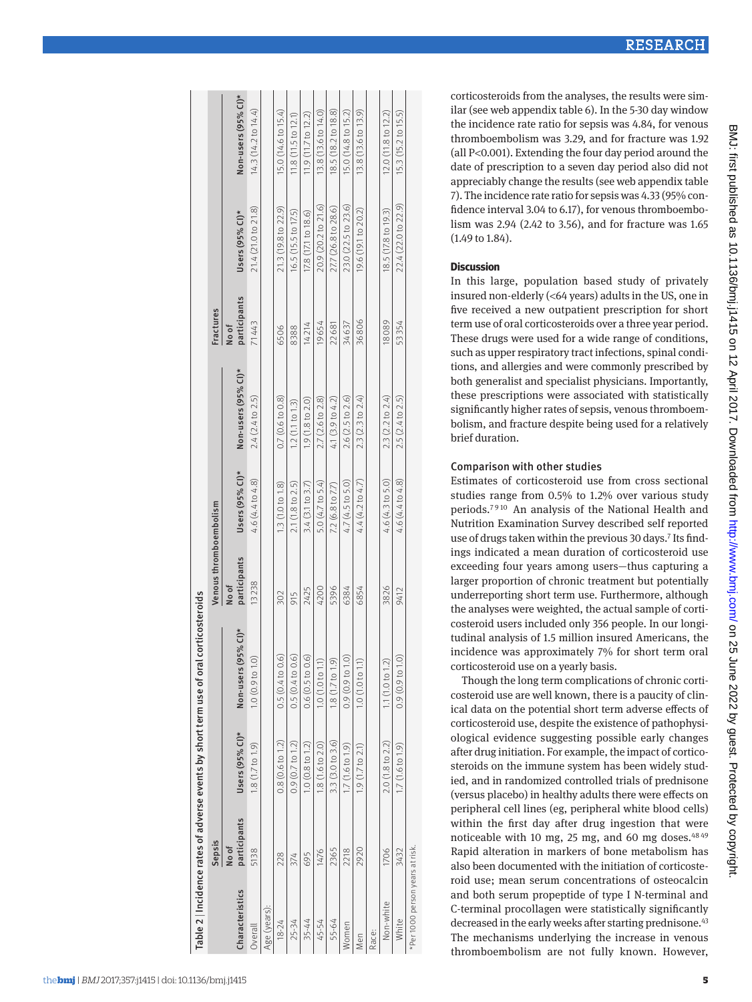|                                                                       |                        | Non-users (95% CI)*   | 14.3 (14.2 to 14.4) |              | 15.0 (14.6 to 15.4) | 11.8(11.5 to 12.1)  | 11.9 (11.7 to 12.2) | 13.8 (13.6 to 14.0) | 8.5 (18.2 to 18.8)            | 5.0 (14.8 to 15.2)            | (6.51)<br>(13.6 t)<br>$\infty$<br>$\overline{13}$ . |       | 12.0(11.8 to 12.2)  | 15.3 (15.2 to 15.5) |
|-----------------------------------------------------------------------|------------------------|-----------------------|---------------------|--------------|---------------------|---------------------|---------------------|---------------------|-------------------------------|-------------------------------|-----------------------------------------------------|-------|---------------------|---------------------|
|                                                                       |                        | Users $(95\%$ CI)*    | 21.4 (21.0 to 21.8) |              | 21.3 (19.8 to 22.9) | 16.5 (15.5 to 17.5) | 17.8 (17.1 to 18.6) | 20.9 (20.2 to 21.6) | 27.7 (26.8 to 28.6)           | 23.0 (22.5 to 23.6)           | 19.6 (19.1 to 20.2)                                 |       | I8.5 (17.8 to 19.3) | 22.4 (22.0 to 22.9) |
|                                                                       | Fractures              | participants<br>No of | 71443               |              | 6506                | 8388                | 14214               | 19654               | 22681                         | 34637                         | 36806                                               |       | 18089               | 53354               |
|                                                                       |                        | Non-users (95% CI)*   | 2.4 (2.4 to 2.5)    |              | 0.7(0.6 t 0.8)      | 1.2(1.1 to 1.3)     | 1.9(1.8 to 2.0)     | 2.7 (2.6 to 2.8)    | (3.9 to 4.2)<br>4.1           | 6(2.5 to 2.6)                 | 2.4)<br>$\mathbb{C}$<br>(2.3)<br>2.3                |       | 2.3 (2.2 to 2.4)    | 5 (2.4 to 2.5)      |
|                                                                       |                        | Users $(95\%$ Cl)*    | 4.6 (4.4 to 4.8)    |              | 1.3(1.0 to 1.8)     | 2.1 (1.8 to 2.5)    | 3.4 (3.1 to 3.7)    | 5.0 (4.7 to 5.4)    | 7.2 (6.8 to 7.7)              | 5.0)<br>(4.5 to 1)<br>4.7     | 4.7)<br>(4.2 to<br>4.4                              |       | 4.6 (4.3 to 5.0)    | 4.6 (4.4 to 4.8)    |
| corticosteroids                                                       | Venous thromboembolism | participants<br>No of | 13238               |              | 302                 | 915                 | 2425                | 4200                | 5396                          | 6384                          | 6854                                                |       | 3826                | 9412                |
|                                                                       |                        | Non-users (95% CI)*   | 1.0(0.9 to 1.0)     |              | 0.5(0.4 to 0.6)     | 0.5(0.4 to 0.6)     | 0.6(0.5 to 0.6)     | 1.0(1.0 to 1.1)     | (1.7 to 1.9)<br>$\frac{8}{1}$ | (0.9 t 0 1.0)<br>$\circ$<br>ं | (1.0 t 0 1.1)<br>$\overline{1.0}$                   |       | 1.1(1.0 to 1.2)     | 0.9(0.9 t 0.10)     |
| Table 2   Incidence rates of adverse events by short term use of oral |                        | Users $(95\%$ CI)*    | .8(1.7 to 1.9)      |              | 0.8(0.6 t 0.1.2)    | 0.9(0.7 to 1.2)     | 1.0 (0.8 to 1.2)    | 1.8(1.6 to 2.0)     | (3.0 to 3.6)<br>3.3           | (1.6 t 0 1.9)<br>1.7          | 2.1)<br>(1.7 to<br>$\overline{0}$                   |       | 2.0(1.8 to 2.2)     | (6.1)<br>1.7(1.6 to |
|                                                                       | Sepsis                 | participants<br>No of | 5138                |              | 228                 | 374                 | 695                 | 1476                | 2365                          | 2218                          | 2920                                                |       | 1706                | 3432                |
|                                                                       |                        | Characteristics       | Overall             | Age (years): | 18-24               | 25-34               | $35 - 44$           | 45-54               | 55-64                         | Women                         | Men                                                 | Race: | Non-white           | White               |

## **Discussion**

## Comparison with other studies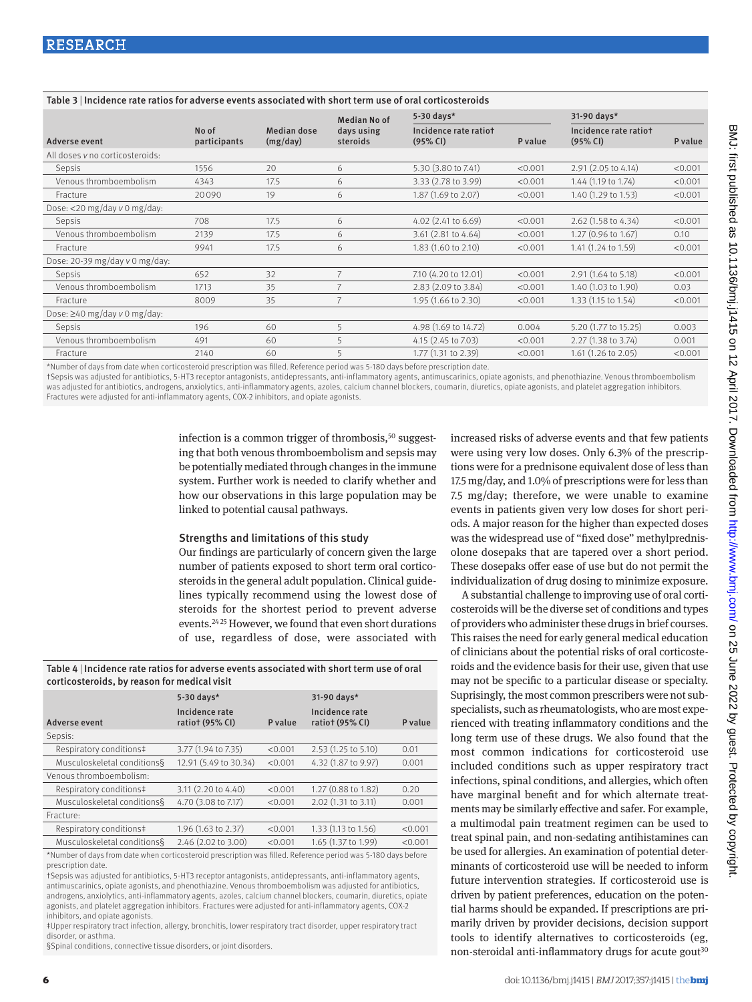|                       |                         | Median No of           | 5-30 days*                        |         | 31-90 days*                       |                |  |
|-----------------------|-------------------------|------------------------|-----------------------------------|---------|-----------------------------------|----------------|--|
| No of<br>participants | Median dose<br>(mg/day) | days using<br>steroids | Incidence rate ratiot<br>(95% CI) | P value | Incidence rate ratiot<br>(95% CI) | <b>P</b> value |  |
|                       |                         |                        |                                   |         |                                   |                |  |
| 1556                  | 20                      | 6                      | 5.30 (3.80 to 7.41)               | < 0.001 | 2.91 (2.05 to 4.14)               | < 0.001        |  |
| 4343                  | 17.5                    | 6                      | 3.33 (2.78 to 3.99)               | < 0.001 | 1.44 (1.19 to 1.74)               | < 0.001        |  |
| 20090                 | 19                      | 6                      | 1.87 (1.69 to 2.07)               | < 0.001 | 1.40 (1.29 to 1.53)               | < 0.001        |  |
|                       |                         |                        |                                   |         |                                   |                |  |
| 708                   | 17.5                    | 6                      | 4.02 (2.41 to 6.69)               | < 0.001 | 2.62 (1.58 to 4.34)               | < 0.001        |  |
| 2139                  | 17.5                    | 6                      | 3.61 (2.81 to 4.64)               | < 0.001 | 1.27 (0.96 to 1.67)               | 0.10           |  |
| 9941                  | 17.5                    | 6                      | 1.83 (1.60 to 2.10)               | < 0.001 | 1.41 (1.24 to 1.59)               | < 0.001        |  |
|                       |                         |                        |                                   |         |                                   |                |  |
| 652                   | 32                      | $\overline{7}$         | 7.10 (4.20 to 12.01)              | < 0.001 | 2.91 (1.64 to 5.18)               | < 0.001        |  |
| 1713                  | 35                      | $\overline{ }$         | 2.83 (2.09 to 3.84)               | < 0.001 | 1.40 (1.03 to 1.90)               | 0.03           |  |
| 8009                  | 35                      | $\overline{7}$         | 1.95 (1.66 to 2.30)               | < 0.001 | 1.33 (1.15 to 1.54)               | < 0.001        |  |
|                       |                         |                        |                                   |         |                                   |                |  |
| 196                   | 60                      | 5                      | 4.98 (1.69 to 14.72)              | 0.004   | 5.20 (1.77 to 15.25)              | 0.003          |  |
| 491                   | 60                      | 5                      | 4.15 (2.45 to 7.03)               | < 0.001 | 2.27 (1.38 to 3.74)               | 0.001          |  |
| 2140                  | 60                      | 5                      | 1.77 (1.31 to 2.39)               | < 0.001 | 1.61 (1.26 to 2.05)               | < 0.001        |  |
|                       |                         |                        |                                   |         |                                   |                |  |

\*Number of days from date when corticosteroid prescription was filled. Reference period was 5-180 days before prescription date.

Table 3 | Incidence rate ratios for adverse events associated with short term use of oral corticosteroids

†Sepsis was adjusted for antibiotics, 5-HT3 receptor antagonists, antidepressants, anti-inflammatory agents, antimuscarinics, opiate agonists, and phenothiazine. Venous thromboembolism was adjusted for antibiotics, androgens, anxiolytics, anti-inflammatory agents, azoles, calcium channel blockers, coumarin, diuretics, opiate agonists, and platelet aggregation inhibitors. Fractures were adjusted for anti-inflammatory agents, COX-2 inhibitors, and opiate agonists.

> infection is a common trigger of thrombosis, $50$  suggesting that both venous thromboembolism and sepsis may be potentially mediated through changes in the immune system. Further work is needed to clarify whether and how our observations in this large population may be linked to potential causal pathways.

#### Strengths and limitations of this study

Our findings are particularly of concern given the large number of patients exposed to short term oral corticosteroids in the general adult population. Clinical guidelines typically recommend using the lowest dose of steroids for the shortest period to prevent adverse events.24 25 However, we found that even short durations of use, regardless of dose, were associated with

Table 4 | Incidence rate ratios for adverse events associated with short term use of oral corticosteroids, by reason for medical visit

| Adverse event               | 5-30 days*<br>Incidence rate<br>ratiot (95% CI) | P value | 31-90 days*<br>Incidence rate<br>ratiot (95% CI) | P value |
|-----------------------------|-------------------------------------------------|---------|--------------------------------------------------|---------|
| Sepsis:                     |                                                 |         |                                                  |         |
| Respiratory conditions‡     | 3.77 (1.94 to 7.35)                             | < 0.001 | 2.53 (1.25 to 5.10)                              | 0.01    |
| Musculoskeletal conditions§ | 12.91 (5.49 to 30.34)                           | < 0.001 | 4.32 (1.87 to 9.97)                              | 0.001   |
| Venous thromboembolism:     |                                                 |         |                                                  |         |
| Respiratory conditions‡     | $3.11$ $(2.20 \text{ to } 4.40)$                | < 0.001 | 1.27 (0.88 to 1.82)                              | 0.20    |
| Musculoskeletal conditions§ | 4.70 (3.08 to 7.17)                             | < 0.001 | 2.02 (1.31 to 3.11)                              | 0.001   |
| Fracture:                   |                                                 |         |                                                  |         |
| Respiratory conditions‡     | 1.96 (1.63 to 2.37)                             | < 0.001 | 1.33 (1.13 to 1.56)                              | < 0.001 |
| Musculoskeletal conditions§ | 2.46 (2.02 to 3.00)                             | < 0.001 | 1.65 (1.37 to 1.99)                              | < 0.001 |

\*Number of days from date when corticosteroid prescription was filled. Reference period was 5-180 days before prescription date.

†Sepsis was adjusted for antibiotics, 5-HT3 receptor antagonists, antidepressants, anti-inflammatory agents, antimuscarinics, opiate agonists, and phenothiazine. Venous thromboembolism was adjusted for antibiotics, androgens, anxiolytics, anti-inflammatory agents, azoles, calcium channel blockers, coumarin, diuretics, opiate agonists, and platelet aggregation inhibitors. Fractures were adjusted for anti-inflammatory agents, COX-2 inhibitors, and opiate agonists.

‡Upper respiratory tract infection, allergy, bronchitis, lower respiratory tract disorder, upper respiratory tract disorder, or asthma.

§Spinal conditions, connective tissue disorders, or joint disorders.

increased risks of adverse events and that few patients were using very low doses. Only 6.3% of the prescriptions were for a prednisone equivalent dose of less than 17.5 mg/day, and 1.0% of prescriptions were for less than 7.5 mg/day; therefore, we were unable to examine events in patients given very low doses for short periods. A major reason for the higher than expected doses was the widespread use of "fixed dose" methylprednisolone dosepaks that are tapered over a short period. These dosepaks offer ease of use but do not permit the individualization of drug dosing to minimize exposure.

A substantial challenge to improving use of oral corticosteroids will be the diverse set of conditions and types of providers who administer these drugs in brief courses. This raises the need for early general medical education of clinicians about the potential risks of oral corticosteroids and the evidence basis for their use, given that use may not be specific to a particular disease or specialty. Suprisingly, the most common prescribers were not subspecialists, such as rheumatologists, who are most experienced with treating inflammatory conditions and the long term use of these drugs. We also found that the most common indications for corticosteroid use included conditions such as upper respiratory tract infections, spinal conditions, and allergies, which often have marginal benefit and for which alternate treatments may be similarly effective and safer. For example, a multimodal pain treatment regimen can be used to treat spinal pain, and non-sedating antihistamines can be used for allergies. An examination of potential determinants of corticosteroid use will be needed to inform future intervention strategies. If corticosteroid use is driven by patient preferences, education on the potential harms should be expanded. If prescriptions are primarily driven by provider decisions, decision support tools to identify alternatives to corticosteroids (eg, non-steroidal anti-inflammatory drugs for acute gout<sup>30</sup>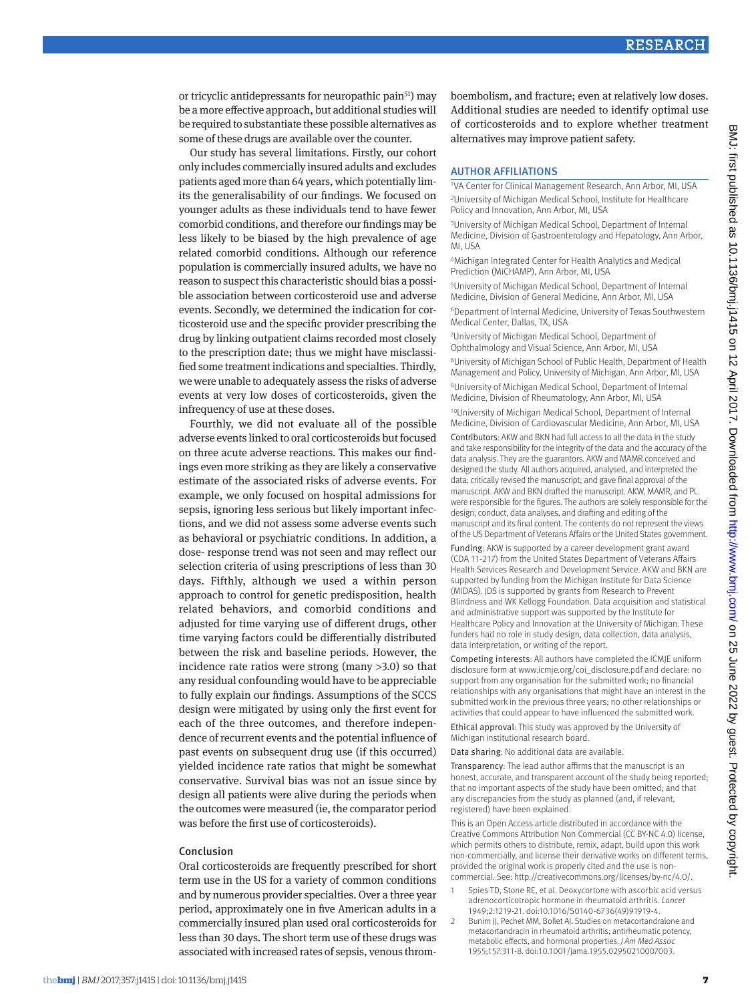or tricyclic antidepressants for neuropathic pain51) may be a more effective approach, but additional studies will be required to substantiate these possible alternatives as some of these drugs are available over the counter.

Our study has several limitations. Firstly, our cohort only includes commercially insured adults and excludes patients aged more than 64 years, which potentially limits the generalisability of our findings. We focused on younger adults as these individuals tend to have fewer comorbid conditions, and therefore our findings may be less likely to be biased by the high prevalence of age related comorbid conditions. Although our reference population is commercially insured adults, we have no reason to suspect this characteristic should bias a possible association between corticosteroid use and adverse events. Secondly, we determined the indication for corticosteroid use and the specific provider prescribing the drug by linking outpatient claims recorded most closely to the prescription date; thus we might have misclassified some treatment indications and specialties. Thirdly, we were unable to adequately assess the risks of adverse events at very low doses of corticosteroids, given the infrequency of use at these doses.

Fourthly, we did not evaluate all of the possible adverse events linked to oral corticosteroids but focused on three acute adverse reactions. This makes our findings even more striking as they are likely a conservative estimate of the associated risks of adverse events. For example, we only focused on hospital admissions for sepsis, ignoring less serious but likely important infections, and we did not assess some adverse events such as behavioral or psychiatric conditions. In addition, a dose- response trend was not seen and may reflect our selection criteria of using prescriptions of less than 30 days. Fifthly, although we used a within person approach to control for genetic predisposition, health related behaviors, and comorbid conditions and adjusted for time varying use of different drugs, other time varying factors could be differentially distributed between the risk and baseline periods. However, the incidence rate ratios were strong (many >3.0) so that any residual confounding would have to be appreciable to fully explain our findings. Assumptions of the SCCS design were mitigated by using only the first event for each of the three outcomes, and therefore independence of recurrent events and the potential influence of past events on subsequent drug use (if this occurred) yielded incidence rate ratios that might be somewhat conservative. Survival bias was not an issue since by design all patients were alive during the periods when the outcomes were measured (ie, the comparator period was before the first use of corticosteroids).

#### Conclusion

Oral corticosteroids are frequently prescribed for short term use in the US for a variety of common conditions and by numerous provider specialties. Over a three year period, approximately one in five American adults in a commercially insured plan used oral corticosteroids for less than 30 days. The short term use of these drugs was associated with increased rates of sepsis, venous thromboembolism, and fracture; even at relatively low doses. Additional studies are needed to identify optimal use of corticosteroids and to explore whether treatment alternatives may improve patient safety.

#### Author affiliations

1VA Center for Clinical Management Research, Ann Arbor, MI, USA 2University of Michigan Medical School, Institute for Healthcare Policy and Innovation, Ann Arbor, MI, USA

3University of Michigan Medical School, Department of Internal Medicine, Division of Gastroenterology and Hepatology, Ann Arbor, MI, USA

4Michigan Integrated Center for Health Analytics and Medical Prediction (MiCHAMP), Ann Arbor, MI, USA

5University of Michigan Medical School, Department of Internal Medicine, Division of General Medicine, Ann Arbor, MI, USA

6Department of Internal Medicine, University of Texas Southwestern Medical Center, Dallas, TX, USA

7 University of Michigan Medical School, Department of Ophthalmology and Visual Science, Ann Arbor, MI, USA 8University of Michigan School of Public Health, Department of Health

Management and Policy, University of Michigan, Ann Arbor, MI, USA

9University of Michigan Medical School, Department of Internal Medicine, Division of Rheumatology, Ann Arbor, MI, USA

10University of Michigan Medical School, Department of Internal Medicine, Division of Cardiovascular Medicine, Ann Arbor, MI, USA

Contributors: AKW and BKN had full access to all the data in the study and take responsibility for the integrity of the data and the accuracy of the data analysis. They are the guarantors. AKW and MAMR conceived and designed the study. All authors acquired, analysed, and interpreted the data; critically revised the manuscript; and gave final approval of the manuscript. AKW and BKN drafted the manuscript. AKW, MAMR, and PL were responsible for the figures. The authors are solely responsible for the design, conduct, data analyses, and drafting and editing of the manuscript and its final content. The contents do not represent the views of the US Department of Veterans Affairs or the United States government.

Funding: AKW is supported by a career development grant award (CDA 11-217) from the United States Department of Veterans Affairs Health Services Research and Development Service. AKW and BKN are supported by funding from the Michigan Institute for Data Science (MIDAS). JDS is supported by grants from Research to Prevent Blindness and WK Kellogg Foundation. Data acquisition and statistical and administrative support was supported by the Institute for Healthcare Policy and Innovation at the University of Michigan. These funders had no role in study design, data collection, data analysis, data interpretation, or writing of the report.

Competing interests: All authors have completed the ICMJE uniform disclosure form at www.icmje.org/coi\_disclosure.pdf and declare: no support from any organisation for the submitted work; no financial relationships with any organisations that might have an interest in the submitted work in the previous three years; no other relationships or activities that could appear to have influenced the submitted work.

Ethical approval: This study was approved by the University of Michigan institutional research board.

Data sharing: No additional data are available.

Transparency: The lead author affirms that the manuscript is an honest, accurate, and transparent account of the study being reported; that no important aspects of the study have been omitted; and that any discrepancies from the study as planned (and, if relevant, registered) have been explained.

This is an Open Access article distributed in accordance with the Creative Commons Attribution Non Commercial (CC BY-NC 4.0) license, which permits others to distribute, remix, adapt, build upon this work non-commercially, and license their derivative works on different terms, provided the original work is properly cited and the use is noncommercial. See: http://creativecommons.org/licenses/by-nc/4.0/.

- Spies TD, Stone RE, et al. Deoxycortone with ascorbic acid versus adrenocorticotropic hormone in rheumatoid arthritis. *Lancet* 1949;2:1219-21. doi:10.1016/S0140-6736(49)91919-4.
- 2 Bunim JJ, Pechet MM, Bollet AJ. Studies on metacortandralone and metacortandracin in rheumatoid arthritis; antirheumatic potency, metabolic effects, and hormonal properties. *J Am Med Assoc* 1955;157:311-8. doi:10.1001/jama.1955.02950210007003.